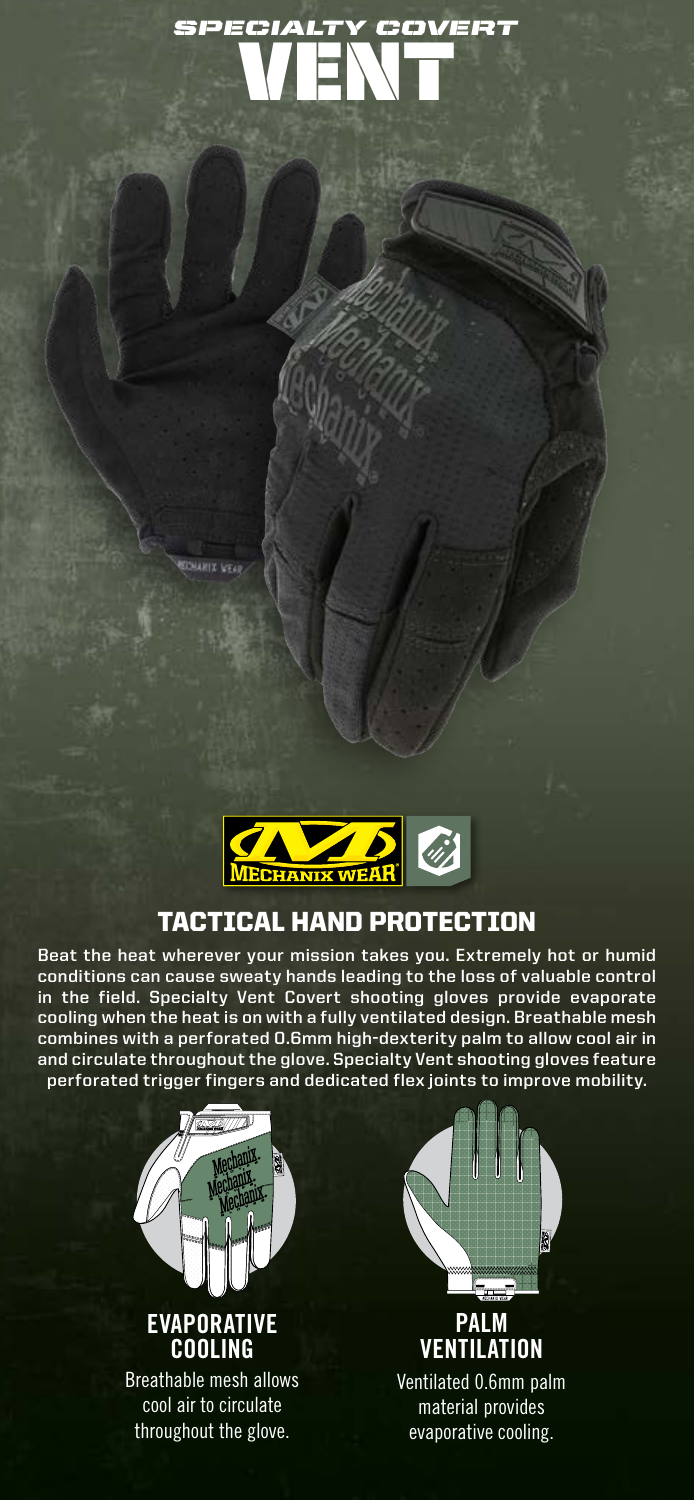# VENT *SPECIALTY COVERT*



## TACTICAL HAND PROTECTION

**Beat the heat wherever your mission takes you. Extremely hot or humid conditions can cause sweaty hands leading to the loss of valuable control in the field. Specialty Vent Covert shooting gloves provide evaporate cooling when the heat is on with a fully ventilated design. Breathable mesh combines with a perforated 0.6mm high-dexterity palm to allow cool air in and circulate throughout the glove. Specialty Vent shooting gloves feature perforated trigger fingers and dedicated flex joints to improve mobility.**



**CHARIZ LEGAL** 



**PALM VENTILATION** Ventilated 0.6mm palm material provides evaporative cooling.